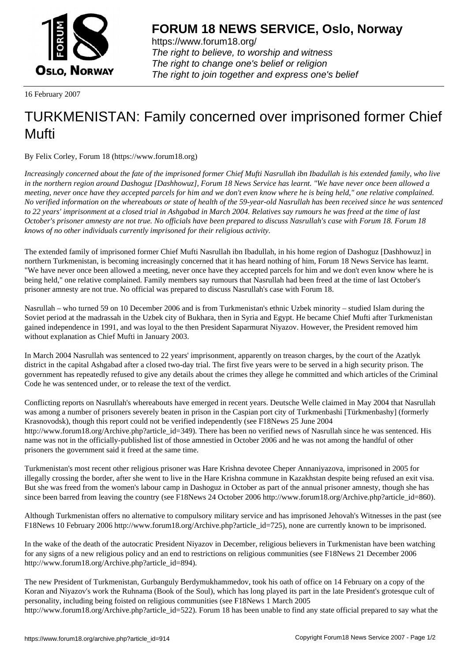

https://www.forum18.org/ The right to believe, to worship and witness The right to change one's belief or religion [The right to join together a](https://www.forum18.org/)nd express one's belief

16 February 2007

## [TURKMENISTA](https://www.forum18.org)N: Family concerned over imprisoned former Chief Mufti

By Felix Corley, Forum 18 (https://www.forum18.org)

*Increasingly concerned about the fate of the imprisoned former Chief Mufti Nasrullah ibn Ibadullah is his extended family, who live in the northern region around Dashoguz [Dashhowuz], Forum 18 News Service has learnt. "We have never once been allowed a meeting, never once have they accepted parcels for him and we don't even know where he is being held," one relative complained. No verified information on the whereabouts or state of health of the 59-year-old Nasrullah has been received since he was sentenced to 22 years' imprisonment at a closed trial in Ashgabad in March 2004. Relatives say rumours he was freed at the time of last October's prisoner amnesty are not true. No officials have been prepared to discuss Nasrullah's case with Forum 18. Forum 18 knows of no other individuals currently imprisoned for their religious activity.*

The extended family of imprisoned former Chief Mufti Nasrullah ibn Ibadullah, in his home region of Dashoguz [Dashhowuz] in northern Turkmenistan, is becoming increasingly concerned that it has heard nothing of him, Forum 18 News Service has learnt. "We have never once been allowed a meeting, never once have they accepted parcels for him and we don't even know where he is being held," one relative complained. Family members say rumours that Nasrullah had been freed at the time of last October's prisoner amnesty are not true. No official was prepared to discuss Nasrullah's case with Forum 18.

Nasrullah – who turned 59 on 10 December 2006 and is from Turkmenistan's ethnic Uzbek minority – studied Islam during the Soviet period at the madrassah in the Uzbek city of Bukhara, then in Syria and Egypt. He became Chief Mufti after Turkmenistan gained independence in 1991, and was loyal to the then President Saparmurat Niyazov. However, the President removed him without explanation as Chief Mufti in January 2003.

In March 2004 Nasrullah was sentenced to 22 years' imprisonment, apparently on treason charges, by the court of the Azatlyk district in the capital Ashgabad after a closed two-day trial. The first five years were to be served in a high security prison. The government has repeatedly refused to give any details about the crimes they allege he committed and which articles of the Criminal Code he was sentenced under, or to release the text of the verdict.

Conflicting reports on Nasrullah's whereabouts have emerged in recent years. Deutsche Welle claimed in May 2004 that Nasrullah was among a number of prisoners severely beaten in prison in the Caspian port city of Turkmenbashi [Türkmenbashy] (formerly Krasnovodsk), though this report could not be verified independently (see F18News 25 June 2004 http://www.forum18.org/Archive.php?article\_id=349). There has been no verified news of Nasrullah since he was sentenced. His name was not in the officially-published list of those amnestied in October 2006 and he was not among the handful of other prisoners the government said it freed at the same time.

Turkmenistan's most recent other religious prisoner was Hare Krishna devotee Cheper Annaniyazova, imprisoned in 2005 for illegally crossing the border, after she went to live in the Hare Krishna commune in Kazakhstan despite being refused an exit visa. But she was freed from the women's labour camp in Dashoguz in October as part of the annual prisoner amnesty, though she has since been barred from leaving the country (see F18News 24 October 2006 http://www.forum18.org/Archive.php?article\_id=860).

Although Turkmenistan offers no alternative to compulsory military service and has imprisoned Jehovah's Witnesses in the past (see F18News 10 February 2006 http://www.forum18.org/Archive.php?article\_id=725), none are currently known to be imprisoned.

In the wake of the death of the autocratic President Niyazov in December, religious believers in Turkmenistan have been watching for any signs of a new religious policy and an end to restrictions on religious communities (see F18News 21 December 2006 http://www.forum18.org/Archive.php?article\_id=894).

The new President of Turkmenistan, Gurbanguly Berdymukhammedov, took his oath of office on 14 February on a copy of the Koran and Niyazov's work the Ruhnama (Book of the Soul), which has long played its part in the late President's grotesque cult of personality, including being foisted on religious communities (see F18News 1 March 2005 http://www.forum18.org/Archive.php?article\_id=522). Forum 18 has been unable to find any state official prepared to say what the